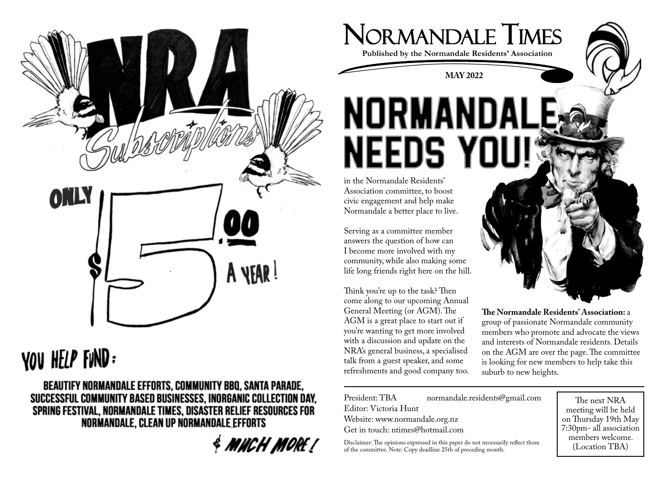

# YOU HELP FUND =

BEAUTIFY NORMANDALE EFFORTS, COMMUNITY BBQ, SANTA PARADE, SUCCESSFUL COMMUNITY BASED BUSINESSES, INORGANIC COLLECTION DAY, SPRING FESTIVAL, NORMANDALE TIMES, DISASTER RELIEF RESOURCES FOR NORMANDALE, CLEAN UP NORMANDALE EFFORTS

**& MUCH MORE!** 



**Published by the Normandale Residents' Association**

2 2 **MAY 2022**

### Break ins in Normandale A heads up for residents, as there have been reports of recent car break -ins and the first have also been reported in Maungaraki, and the first have also been reported in Maungaraki, Police are reminding people to be vigilant. In the semi seclusion of Normandale, there can  $\mathbf{N}$  in the past summer months in the past summer months residents can feel at ease  $\mathbf{N}$ leaving belongings out. Such behaviour could potentially be linked to a targeting of the

civic engagement and help make Normandale a better place to live.

**-** Keep car windows and doors locked **Serving as a committee member** allowers the question of now can<br>I become more involved with my **-** Document when you are not the community, while also making some life long friends right here on the hill. answers the question of how can

Note of the Normandale Residents'<br>
he Normandale Residents'<br>
ociation committee, to boost<br>
e mandale a better place to live.<br>
xing as a committee member<br>
wers the question of how can<br>
munity, while also making some<br>
long f talk from a guest speaker, and some General Meeting (or AGM). The AGM is a great place to start out if you're wanting to get more involved with a discussion and update on the NRA's general business, a specialised refreshments and good company too.



General Meeting (or AGM). The **The Normandale Residents' Association:** a AGM is a great place to start out if group of passionate Normandale community you're wanting to get more involved members who promote and advocate the views with a discussion and update on the  $\frac{1}{2}$  and interests of Normandale residents. Details NRA's general business, a specialised on the AGM are over the page. The committee is looking for new members to help take this suburb to new heights.

President: TBA Editor: Victoria Hunt Website: www.normandale.org.nz Get in touch: ntimes@hotmail.com normandale.residents@gmail.com

President: TBA normandale.residents@gmail.com

Disclaimer: The opinions expressed in this paper do not necessarily reflect those of the committee. Note: Copy deadline 25th of preceding month.

The next NRA meeting and the next NRA meeting and the next NRA meeting and the next NRA meeting and the next N The next NRA meeting will be held on Thursday 19th May 7:30pm- all association members welcome. (Location TBA)

-ins and other thefts